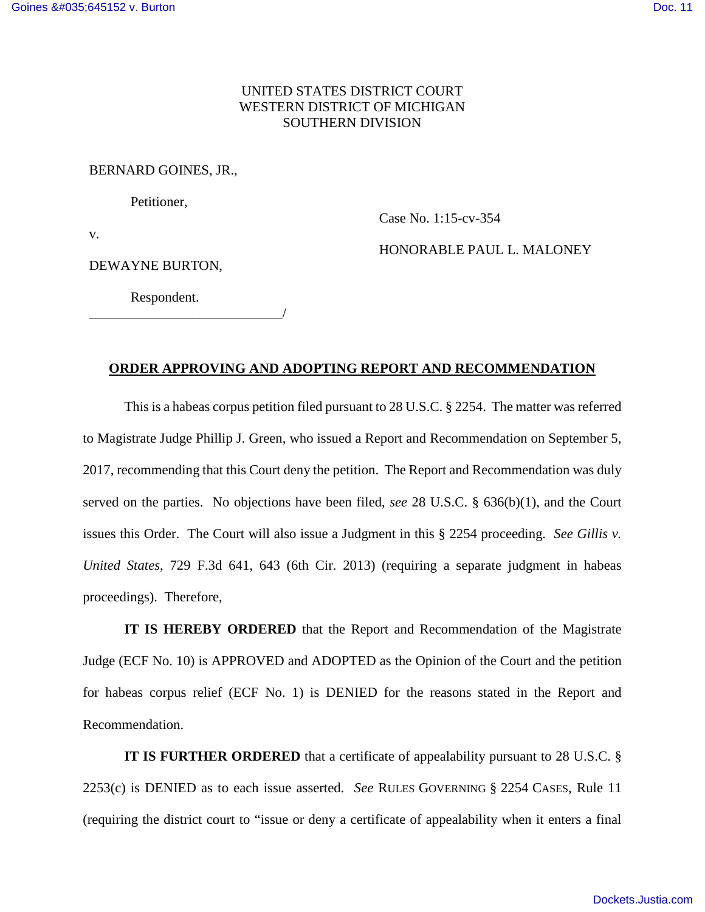### UNITED STATES DISTRICT COURT WESTERN DISTRICT OF MICHIGAN SOUTHERN DIVISION

#### BERNARD GOINES, JR.,

Petitioner,

Case No. 1:15-cv-354

v.

DEWAYNE BURTON,

HONORABLE PAUL L. MALONEY

Respondent.

\_\_\_\_\_\_\_\_\_\_\_\_\_\_\_\_\_\_\_\_\_\_\_\_\_\_\_\_/

#### **ORDER APPROVING AND ADOPTING REPORT AND RECOMMENDATION**

This is a habeas corpus petition filed pursuant to 28 U.S.C. § 2254. The matter was referred to Magistrate Judge Phillip J. Green, who issued a Report and Recommendation on September 5, 2017, recommending that this Court deny the petition. The Report and Recommendation was duly served on the parties. No objections have been filed, *see* 28 U.S.C. § 636(b)(1), and the Court issues this Order. The Court will also issue a Judgment in this § 2254 proceeding. *See Gillis v. United States*, 729 F.3d 641, 643 (6th Cir. 2013) (requiring a separate judgment in habeas proceedings). Therefore,

**IT IS HEREBY ORDERED** that the Report and Recommendation of the Magistrate Judge (ECF No. 10) is APPROVED and ADOPTED as the Opinion of the Court and the petition for habeas corpus relief (ECF No. 1) is DENIED for the reasons stated in the Report and Recommendation.

**IT IS FURTHER ORDERED** that a certificate of appealability pursuant to 28 U.S.C. § 2253(c) is DENIED as to each issue asserted. *See* RULES GOVERNING § 2254 CASES, Rule 11 (requiring the district court to "issue or deny a certificate of appealability when it enters a final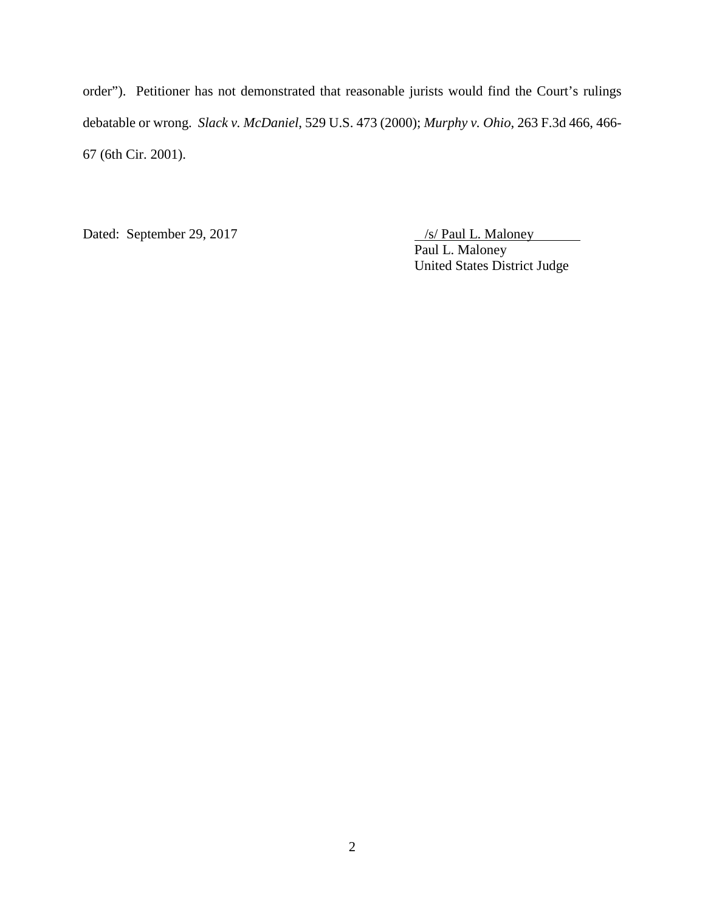order"). Petitioner has not demonstrated that reasonable jurists would find the Court's rulings debatable or wrong. *Slack v. McDaniel*, 529 U.S. 473 (2000); *Murphy v. Ohio*, 263 F.3d 466, 466- 67 (6th Cir. 2001).

Dated: September 29, 2017 /s/ Paul L. Maloney

Paul L. Maloney United States District Judge